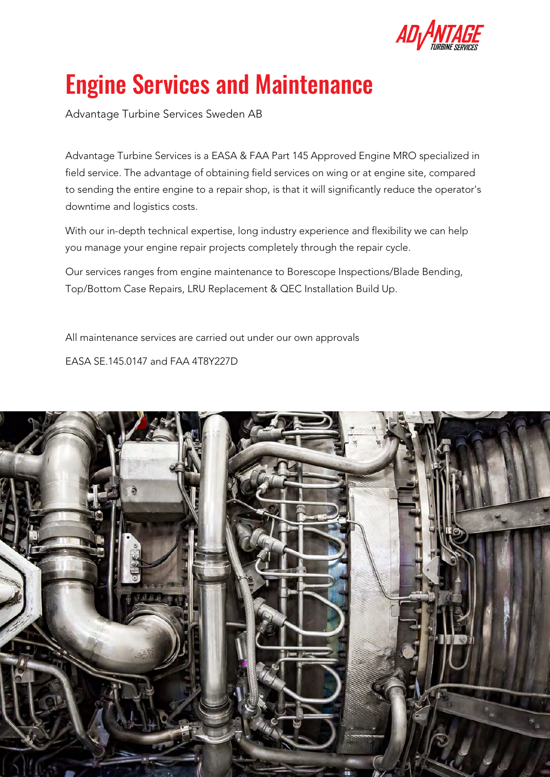

# Engine Services and Maintenance

Advantage Turbine Services Sweden AB

Advantage Turbine Services is a EASA & FAA Part 145 Approved Engine MRO specialized in field service. The advantage of obtaining field services on wing or at engine site, compared to sending the entire engine to a repair shop, is that it will significantly reduce the operator's downtime and logistics costs.

With our in-depth technical expertise, long industry experience and flexibility we can help you manage your engine repair projects completely through the repair cycle.

Our services ranges from engine maintenance to Borescope Inspections/Blade Bending, Top/Bottom Case Repairs, LRU Replacement & QEC Installation Build Up.

All maintenance services are carried out under our own approvals

EASA SE.145.0147 and FAA 4T8Y227D

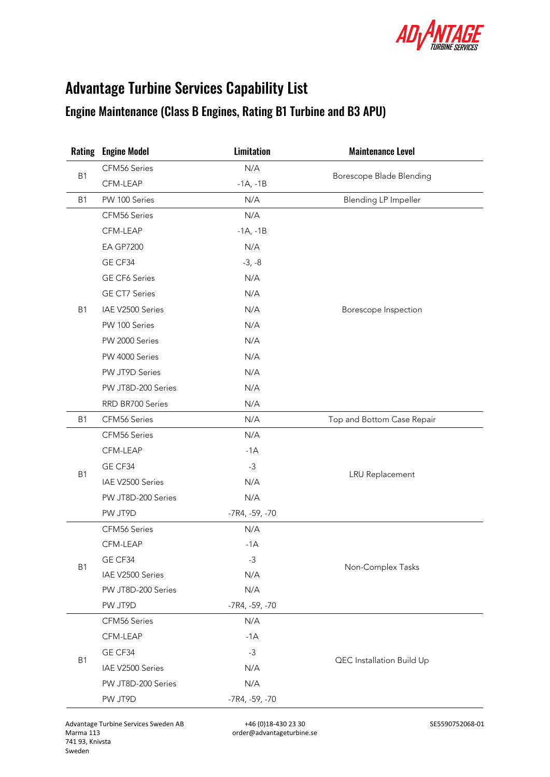

# Advantage Turbine Services Capability List

## Engine Maintenance (Class B Engines, Rating B1 Turbine and B3 APU)

| Rating         | <b>Engine Model</b>  | Limitation       | <b>Maintenance Level</b>    |  |
|----------------|----------------------|------------------|-----------------------------|--|
| <b>B1</b>      | CFM56 Series         | N/A              | Borescope Blade Blending    |  |
|                | CFM-LEAP             | $-1A, -1B$       |                             |  |
| <b>B1</b>      | PW 100 Series        | N/A              | <b>Blending LP Impeller</b> |  |
|                | CFM56 Series         | N/A              |                             |  |
|                | CFM-LEAP             | $-1A, -1B$       |                             |  |
|                | <b>EA GP7200</b>     | N/A              |                             |  |
|                | GE CF34              | $-3, -8$         |                             |  |
|                | GE CF6 Series        | N/A              | Borescope Inspection        |  |
|                | <b>GE CT7 Series</b> | N/A              |                             |  |
| <b>B1</b>      | IAE V2500 Series     | N/A              |                             |  |
|                | PW 100 Series        | N/A              |                             |  |
|                | PW 2000 Series       | N/A              |                             |  |
|                | PW 4000 Series       | N/A              |                             |  |
|                | PW JT9D Series       | N/A              |                             |  |
|                | PW JT8D-200 Series   | N/A              |                             |  |
|                | RRD BR700 Series     | N/A              |                             |  |
| B <sub>1</sub> | CFM56 Series         | N/A              | Top and Bottom Case Repair  |  |
|                | CFM56 Series         | N/A              |                             |  |
|                | CFM-LEAP             | $-1A$            |                             |  |
|                | GE CF34              | $-3$             |                             |  |
| <b>B1</b>      | IAE V2500 Series     | N/A              | <b>LRU</b> Replacement      |  |
|                | PW JT8D-200 Series   | N/A              |                             |  |
|                | PW JT9D              | $-7R4, -59, -70$ |                             |  |
|                | CFM56 Series         | N/A              |                             |  |
|                | CFM-LEAP             | $-1A$            |                             |  |
| B <sub>1</sub> | GE CF34              | $-3$             | Non-Complex Tasks           |  |
|                | IAE V2500 Series     | N/A              |                             |  |
|                | PW JT8D-200 Series   | N/A              |                             |  |
|                | PW JT9D              | -7R4, -59, -70   |                             |  |
| <b>B1</b>      | CFM56 Series         | N/A              | QEC Installation Build Up   |  |
|                | CFM-LEAP             | $-1A$            |                             |  |
|                | GE CF34              | $-3$             |                             |  |
|                | IAE V2500 Series     | N/A              |                             |  |
|                | PW JT8D-200 Series   | N/A              |                             |  |
|                | PW JT9D              | -7R4, -59, -70   |                             |  |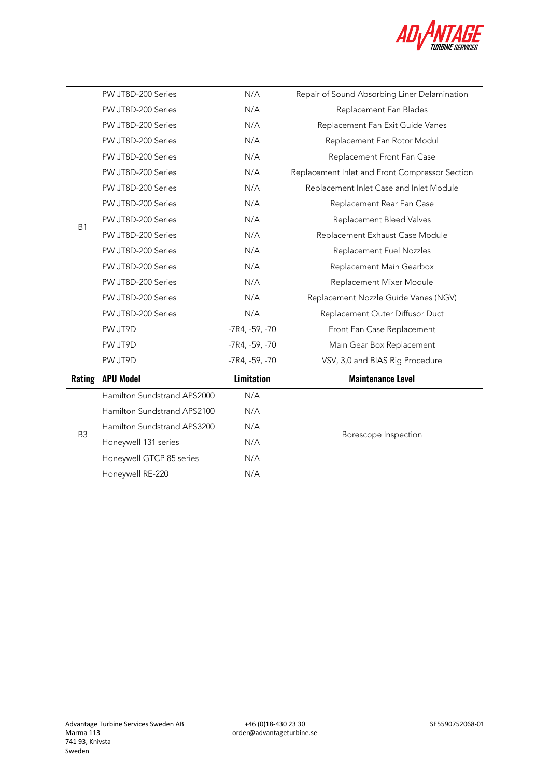

|                | PW JT8D-200 Series          | N/A               | Repair of Sound Absorbing Liner Delamination   |  |
|----------------|-----------------------------|-------------------|------------------------------------------------|--|
|                | PW JT8D-200 Series          | N/A               | Replacement Fan Blades                         |  |
|                | PW JT8D-200 Series          | N/A               | Replacement Fan Exit Guide Vanes               |  |
|                | PW JT8D-200 Series          | N/A               | Replacement Fan Rotor Modul                    |  |
|                | PW JT8D-200 Series          | N/A               | Replacement Front Fan Case                     |  |
|                | PW JT8D-200 Series          | N/A               | Replacement Inlet and Front Compressor Section |  |
|                | PW JT8D-200 Series          | N/A               | Replacement Inlet Case and Inlet Module        |  |
|                | PW JT8D-200 Series          | N/A               | Replacement Rear Fan Case                      |  |
| <b>B1</b>      | PW JT8D-200 Series          | N/A               | Replacement Bleed Valves                       |  |
|                | PW JT8D-200 Series          | N/A               | Replacement Exhaust Case Module                |  |
|                | PW JT8D-200 Series          | N/A               | Replacement Fuel Nozzles                       |  |
|                | PW JT8D-200 Series          | N/A               | Replacement Main Gearbox                       |  |
|                | PW JT8D-200 Series          | N/A               | Replacement Mixer Module                       |  |
|                | PW JT8D-200 Series          | N/A               | Replacement Nozzle Guide Vanes (NGV)           |  |
|                | PW JT8D-200 Series          | N/A               | Replacement Outer Diffusor Duct                |  |
|                | PW JT9D                     | -7R4, -59, -70    | Front Fan Case Replacement                     |  |
|                | PW JT9D                     | -7R4, -59, -70    | Main Gear Box Replacement                      |  |
|                | PW JT9D                     | $-7R4, -59, -70$  | VSV, 3,0 and BIAS Rig Procedure                |  |
| Rating         | <b>APU Model</b>            | <b>Limitation</b> | <b>Maintenance Level</b>                       |  |
|                | Hamilton Sundstrand APS2000 | N/A               |                                                |  |
| B <sub>3</sub> | Hamilton Sundstrand APS2100 | N/A               | N/A<br>Borescope Inspection<br>N/A             |  |
|                | Hamilton Sundstrand APS3200 |                   |                                                |  |
|                | Honeywell 131 series        |                   |                                                |  |
|                | Honeywell GTCP 85 series    | N/A               |                                                |  |
|                | Honeywell RE-220            | N/A               |                                                |  |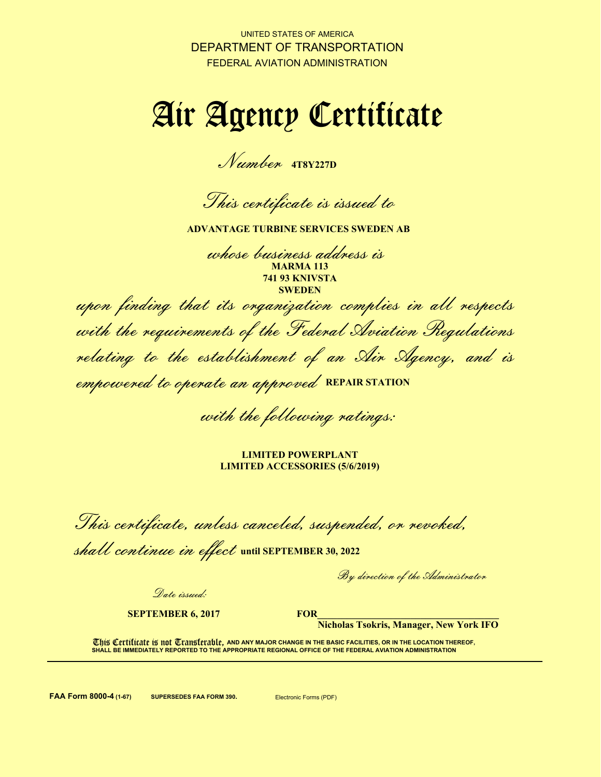UNITED STATES OF AMERICA DEPARTMENT OF TRANSPORTATION FEDERAL AVIATION ADMINISTRATION

# Air Agency Certificate

Number **4T8Y227D**

This certificate is issued to

**ADVANTAGE TURBINE SERVICES SWEDEN AB**

whose business address is **MARMA 113 741 93 KNIVSTA SWEDEN**

upon finding that its organization complies in all respects with the requirements of the Federal Aviation Regulations relating to the establishment of an Air Agency, and is empowered to operate an approved **REPAIR STATION**

with the following ratings:

**LIMITED POWERPLANT LIMITED ACCESSORIES (5/6/2019)** 

This certificate, unless canceled, suspended, or revoked,

shall continue in effect until SEPTEMBER 30, 2022

By direction of the Administrator

Date issued:

**SEPTEMBER 6, 2017**

**FOR\_\_\_\_\_\_\_\_\_\_\_\_\_\_\_\_\_\_\_\_\_\_\_\_\_\_\_\_\_\_\_\_\_\_\_\_\_**

**Nicholas Tsokris, Manager, New York IFO**

**This Certificate is not Transferable, and any major change in the basic facilities, or in the location thereof, SHALL BE IMMEDIATELY REPORTED TO THE APPROPRIATE REGIONAL OFFICE OF THE FEDERAL AVIATION ADMINISTRATION**

**FAA Form 8000-4 (1-67) SUPERSEDES FAA FORM 390.** Electronic Forms (PDF)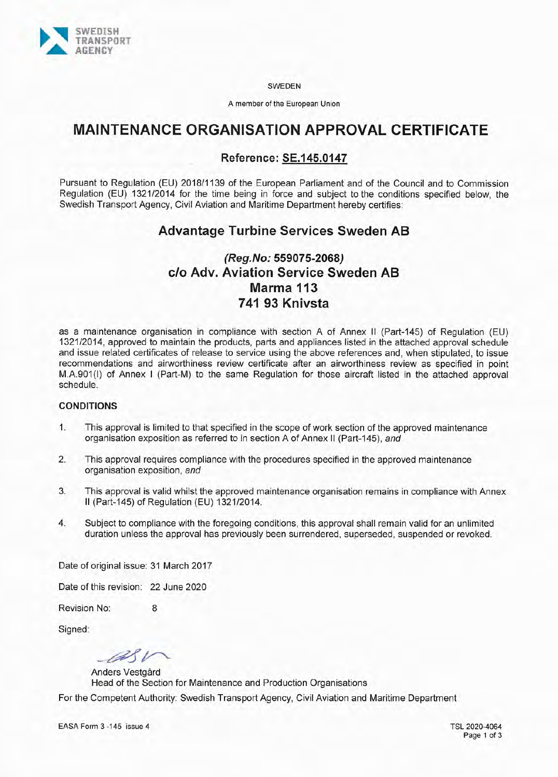

**SWEDEN** 

A member of the European Union

## **MAINTENANCE ORGANISATION APPROVAL CERTIFICATE**

### **Reference: SE.145.0147**

Pursuant to Regulation (EU) 2018/1139 of the European Parliament and of the Council and to Commission Regulation (EU) 1321/2014 for the time being in force and subject to the conditions specified below, the Swedish Transport Agency, Civil Aviation and Maritime Department hereby certifies:

## **Advantage Turbine Services Sweden AB**

## (Reg.No: 559075-2068) c/o Adv. Aviation Service Sweden AB Marma 113 741 93 Knivsta

as a maintenance organisation in compliance with section A of Annex II (Part-145) of Regulation (EU) 1321/2014, approved to maintain the products, parts and appliances listed in the attached approval schedule and issue related certificates of release to service using the above references and, when stipulated, to issue recommendations and airworthiness review certificate after an airworthiness review as specified in point M.A.901(I) of Annex I (Part-M) to the same Regulation for those aircraft listed in the attached approval schedule.

#### **CONDITIONS**

- $1.$ This approval is limited to that specified in the scope of work section of the approved maintenance organisation exposition as referred to in section A of Annex II (Part-145), and
- $2.$ This approval requires compliance with the procedures specified in the approved maintenance organisation exposition, and
- $3.$ This approval is valid whilst the approved maintenance organisation remains in compliance with Annex II (Part-145) of Regulation (EU) 1321/2014.
- $4.$ Subject to compliance with the foregoing conditions, this approval shall remain valid for an unlimited duration unless the approval has previously been surrendered, superseded, suspended or revoked.

Date of original issue: 31 March 2017

Date of this revision: 22 June 2020

Revision No:  $\mathsf{R}$ 

Signed:

alv

Anders Vestgård Head of the Section for Maintenance and Production Organisations For the Competent Authority: Swedish Transport Agency, Civil Aviation and Maritime Department

TSL 2020-4064 Page 1 of 3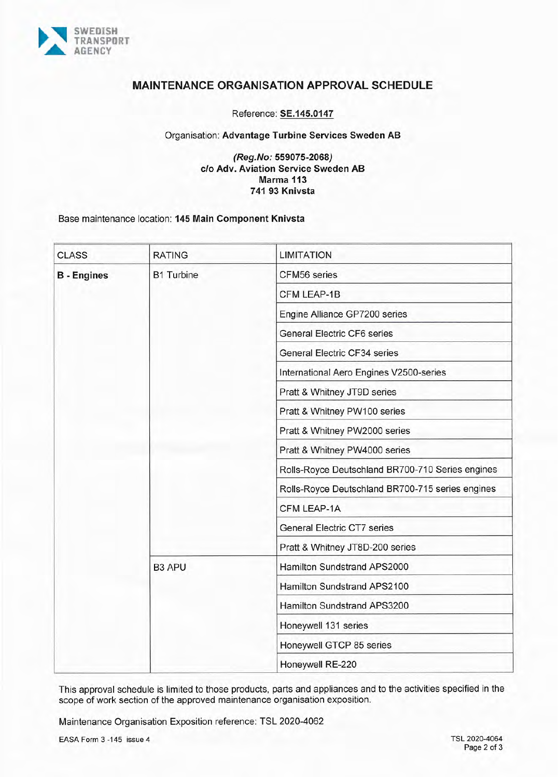

#### **MAINTENANCE ORGANISATION APPROVAL SCHEDULE**

Reference: SE.145.0147

#### Organisation: Advantage Turbine Services Sweden AB

#### (Reg.No: 559075-2068) c/o Adv. Aviation Service Sweden AB Marma 113 741 93 Knivsta

#### Base maintenance location: 145 Main Component Knivsta

| <b>CLASS</b>       | <b>RATING</b>     | <b>LIMITATION</b>                                |
|--------------------|-------------------|--------------------------------------------------|
| <b>B</b> - Engines | <b>B1 Turbine</b> | CFM56 series                                     |
|                    |                   | CFM LEAP-1B                                      |
|                    |                   | Engine Alliance GP7200 series                    |
|                    |                   | <b>General Electric CF6 series</b>               |
|                    |                   | General Electric CF34 series                     |
|                    |                   | International Aero Engines V2500-series          |
|                    |                   | Pratt & Whitney JT9D series                      |
|                    |                   | Pratt & Whitney PW100 series                     |
|                    |                   | Pratt & Whitney PW2000 series                    |
|                    |                   | Pratt & Whitney PW4000 series                    |
|                    |                   | Rolls-Royce Deutschland BR700-710 Series engines |
|                    |                   | Rolls-Royce Deutschland BR700-715 series engines |
|                    |                   | CFM LEAP-1A                                      |
|                    |                   | <b>General Electric CT7 series</b>               |
|                    |                   | Pratt & Whitney JT8D-200 series                  |
|                    | <b>B3 APU</b>     | Hamilton Sundstrand APS2000                      |
|                    |                   | Hamilton Sundstrand APS2100                      |
|                    |                   | Hamilton Sundstrand APS3200                      |
|                    |                   | Honeywell 131 series                             |
|                    |                   | Honeywell GTCP 85 series                         |
|                    |                   | Honeywell RE-220                                 |

This approval schedule is limited to those products, parts and appliances and to the activities specified in the scope of work section of the approved maintenance organisation exposition.

Maintenance Organisation Exposition reference: TSL 2020-4062